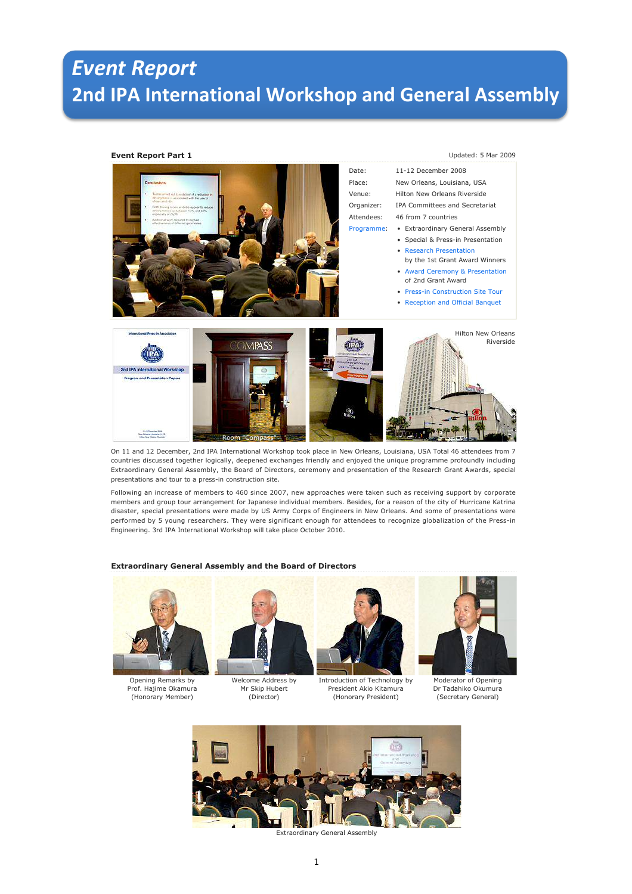# *Event Report* **2nd IPA International Workshop and General Assembly**

# **Event Report Part 1** Updated: 5 Mar 2009



On 11 and 12 December, 2nd IPA International Workshop took place in New Orleans, Louisiana, USA Total 46 attendees from 7 countries discussed together logically, deepened exchanges friendly and enjoyed the unique programme profoundly including Extraordinary General Assembly, the Board of Directors, ceremony and presentation of the Research Grant Awards, special presentations and tour to a press-in construction site.

Following an increase of members to 460 since 2007, new approaches were taken such as receiving support by corporate members and group tour arrangement for Japanese individual members. Besides, for a reason of the city of Hurricane Katrina disaster, special presentations were made by US Army Corps of Engineers in New Orleans. And some of presentations were performed by 5 young researchers. They were significant enough for attendees to recognize globalization of the Press-in Engineering. 3rd IPA International Workshop will take place October 2010.

### **Extraordinary General Assembly and the Board of Directors**



Opening Remarks by Prof. Hajime Okamura (Honorary Member)



Welcome Address by Mr Skip Hubert (Director)



President Akio Kitamura (Honorary President)



Moderator of Opening Dr Tadahiko Okumura (Secretary General)



Extraordinary General Assembly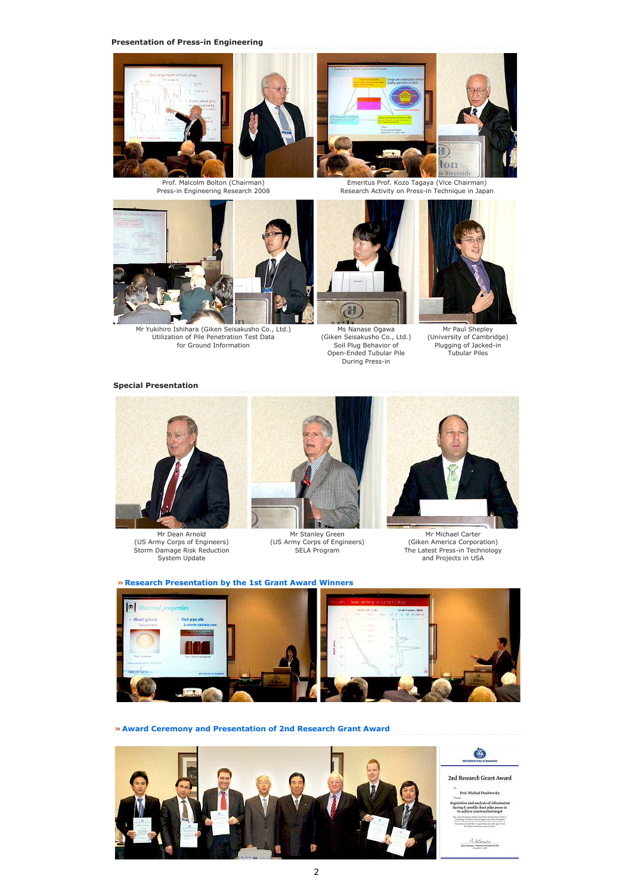



Prof. Malcolm Bolton (Chairman) Press-in Engineering Research 2008



Emeritus Prof. Kozo Tagaya (Vice Chairman) Research Activity on Press-in Technique in Japan



Mr Yukihiro Ishihara (Giken Seisakusho Co., Ltd.) Utilization of Pile Penetration Test Data for Ground Information



Ms Nanase Ogawa (Giken Seisakusho Co., Ltd.) Soil Plug Behavior of Open-Ended Tubular Pile During Press-in



Mr Paul Shepley (University of Cambridge) Plugging of Jacked-in Tubular Piles

### **Special Presentation**



Mr Dean Arnold (US Army Corps of Engineers) Storm Damage Risk Reduction System Update



Mr Stanley Green (US Army Corps of Engineers) SELA Program



Mr Michael Carter (Giken America Corporation) The Latest Press-in Technology and Projects in USA

# **» Research Presentation by the 1st Grant Award Winners**



**» Award Ceremony and Presentation of 2nd Research Grant Award**

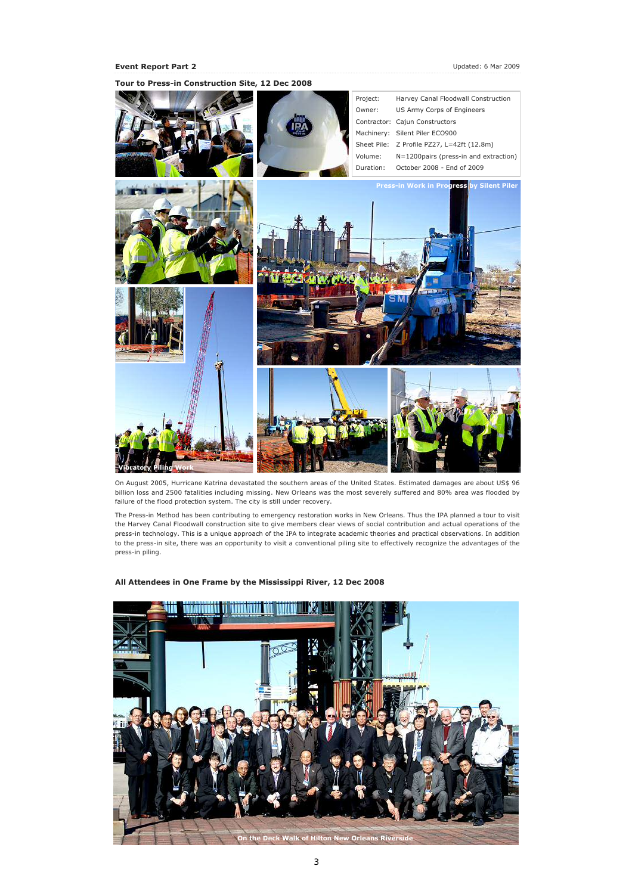

**Tour to Press-in Construction Site, 12 Dec 2008**

On August 2005, Hurricane Katrina devastated the southern areas of the United States. Estimated damages are about US\$ 96 billion loss and 2500 fatalities including missing. New Orleans was the most severely suffered and 80% area was flooded by failure of the flood protection system. The city is still under recovery.

The Press-in Method has been contributing to emergency restoration works in New Orleans. Thus the IPA planned a tour to visit the Harvey Canal Floodwall construction site to give members clear views of social contribution and actual operations of the press-in technology. This is a unique approach of the IPA to integrate academic theories and practical observations. In addition to the press-in site, there was an opportunity to visit a conventional piling site to effectively recognize the advantages of the press-in piling.



**All Attendees in One Frame by the Mississippi River, 12 Dec 2008**